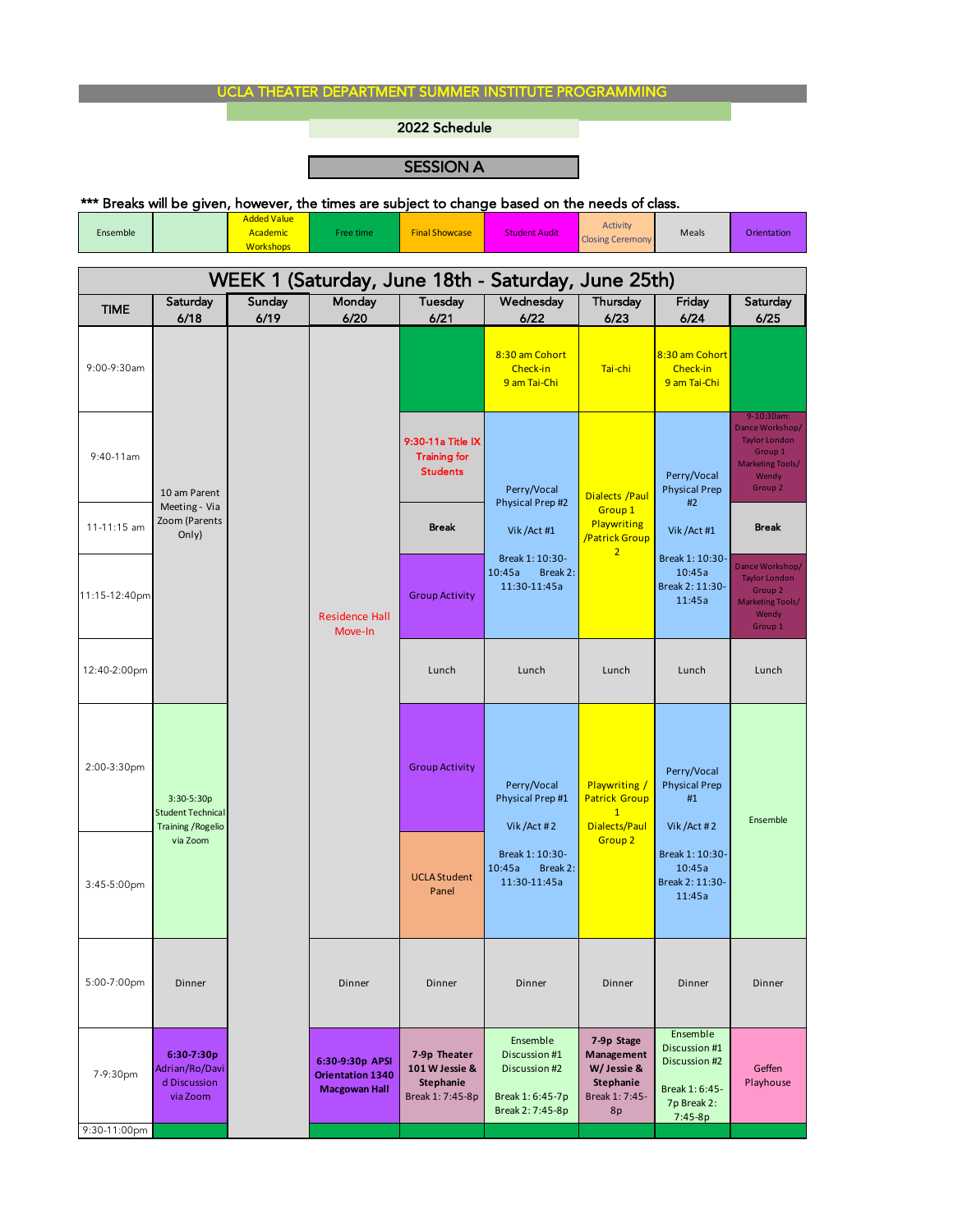## UCLA THEATER DEPARTMENT SUMMER INSTITUTE PROGRAMMING

2022 Schedule

ī

## SESSION A

|               |                                                                       |                                |                                            | א יוטונטבע                                                  |                                                                                                                         |                                                                               |                                                                                                                     |                                                                                                          |
|---------------|-----------------------------------------------------------------------|--------------------------------|--------------------------------------------|-------------------------------------------------------------|-------------------------------------------------------------------------------------------------------------------------|-------------------------------------------------------------------------------|---------------------------------------------------------------------------------------------------------------------|----------------------------------------------------------------------------------------------------------|
| Ensemble      |                                                                       | <b>Added Value</b><br>Academic | Free time                                  | <b>Final Showcase</b>                                       | *** Breaks will be given, however, the times are subject to change based on the needs of class.<br><b>Student Audit</b> | <b>Activity</b><br><b>Closing Ceremony</b>                                    | Meals                                                                                                               | Orientation                                                                                              |
|               |                                                                       | <b>Workshops</b>               |                                            |                                                             |                                                                                                                         |                                                                               |                                                                                                                     |                                                                                                          |
|               |                                                                       |                                |                                            |                                                             | WEEK 1 (Saturday, June 18th - Saturday, June 25th)                                                                      |                                                                               |                                                                                                                     |                                                                                                          |
| <b>TIME</b>   | Saturday                                                              | Sunday                         | Monday                                     | Tuesday                                                     | Wednesday                                                                                                               | Thursday                                                                      | Friday                                                                                                              | Saturday                                                                                                 |
|               | 6/18                                                                  | 6/19                           | 6/20                                       | 6/21                                                        | 6/22                                                                                                                    | 6/23                                                                          | 6/24                                                                                                                | 6/25                                                                                                     |
| 9:00-9:30am   | 10 am Parent<br>Meeting - Via<br>Zoom (Parents<br>Only)               |                                | <b>Residence Hall</b><br>Move-In           |                                                             | 8:30 am Cohort<br>Check-in<br>9 am Tai-Chi                                                                              | Tai-chi                                                                       | 8:30 am Cohort<br>Check-in<br>9 am Tai-Chi                                                                          |                                                                                                          |
| $9:40-11$ am  |                                                                       |                                |                                            | 9:30-11a Title IX<br><b>Training for</b><br><b>Students</b> | Perry/Vocal                                                                                                             | <b>Dialects / Paul</b>                                                        | Perry/Vocal<br><b>Physical Prep</b><br>#2<br>Vik / Act #1<br>Break 1: 10:30-<br>10:45a<br>Break 2: 11:30-<br>11:45a | 9-10:30am:<br>Dance Workshop/<br><b>Taylor London</b><br>Group 1<br>Marketing Tools/<br>Wendy<br>Group 2 |
| 11-11:15 am   |                                                                       |                                |                                            | <b>Break</b>                                                | Physical Prep #2<br>Vik / Act #1                                                                                        | Group 1<br><b>Playwriting</b><br>/Patrick Group<br>$\overline{2}$             |                                                                                                                     | <b>Break</b>                                                                                             |
| 11:15-12:40pm |                                                                       |                                |                                            | <b>Group Activity</b>                                       | Break 1: 10:30-<br>10:45a<br>Break 2:<br>11:30-11:45a                                                                   |                                                                               |                                                                                                                     | Dance Workshop/<br><b>Taylor London</b><br>Group <sub>2</sub><br>Marketing Tools/<br>Wendy<br>Group 1    |
| 12:40-2:00pm  |                                                                       |                                |                                            | Lunch                                                       | Lunch                                                                                                                   | Lunch                                                                         | Lunch                                                                                                               | Lunch                                                                                                    |
| 2:00-3:30pm   | $3:30-5:30p$<br><b>Student Technical</b><br><b>Training / Rogelio</b> |                                |                                            | <b>Group Activity</b>                                       | Perry/Vocal<br>Physical Prep #1<br>Vik/Act#2                                                                            | <b>Playwriting /</b><br><b>Patrick Group</b><br>$\mathbf{1}$<br>Dialects/Paul | Perry/Vocal<br><b>Physical Prep</b><br>#1<br>Vik / Act #2                                                           | Ensemble                                                                                                 |
| 3:45-5:00pm   | via Zoom                                                              |                                |                                            | <b>UCLA Student</b><br>Panel                                | Break 1: 10:30-<br>10:45a Break 2:<br>11:30-11:45a                                                                      | Group <sub>2</sub>                                                            | Break 1: 10:30-<br>10:45a<br>Break 2: 11:30-<br>11:45a                                                              |                                                                                                          |
| 5:00-7:00pm   | Dinner                                                                |                                | Dinner                                     | Dinner                                                      | Dinner                                                                                                                  | Dinner                                                                        | Dinner                                                                                                              | Dinner                                                                                                   |
| 7-9:30pm      | 6:30-7:30p<br>Adrian/Ro/Davi<br>d Discussion                          |                                | 6:30-9:30p APSI<br><b>Orientation 1340</b> | 7-9p Theater<br>101 W Jessie &<br><b>Stephanie</b>          | Ensemble<br>Discussion #1<br>Discussion #2                                                                              | 7-9p Stage<br>Management<br>W/ Jessie &<br>Stephanie                          | Ensemble<br>Discussion #1<br>Discussion #2                                                                          | Geffen<br>Playhouse                                                                                      |

via Zoom

9:30-11:00pm

**Macgowan Hall**

Break 1: 7:45-8p

Break 1: 6:45-7p Break 2: 7:45-8p Break 1: 7:45- 8p

Break 1: 6:45- 7p Break 2:  $7:45-8p$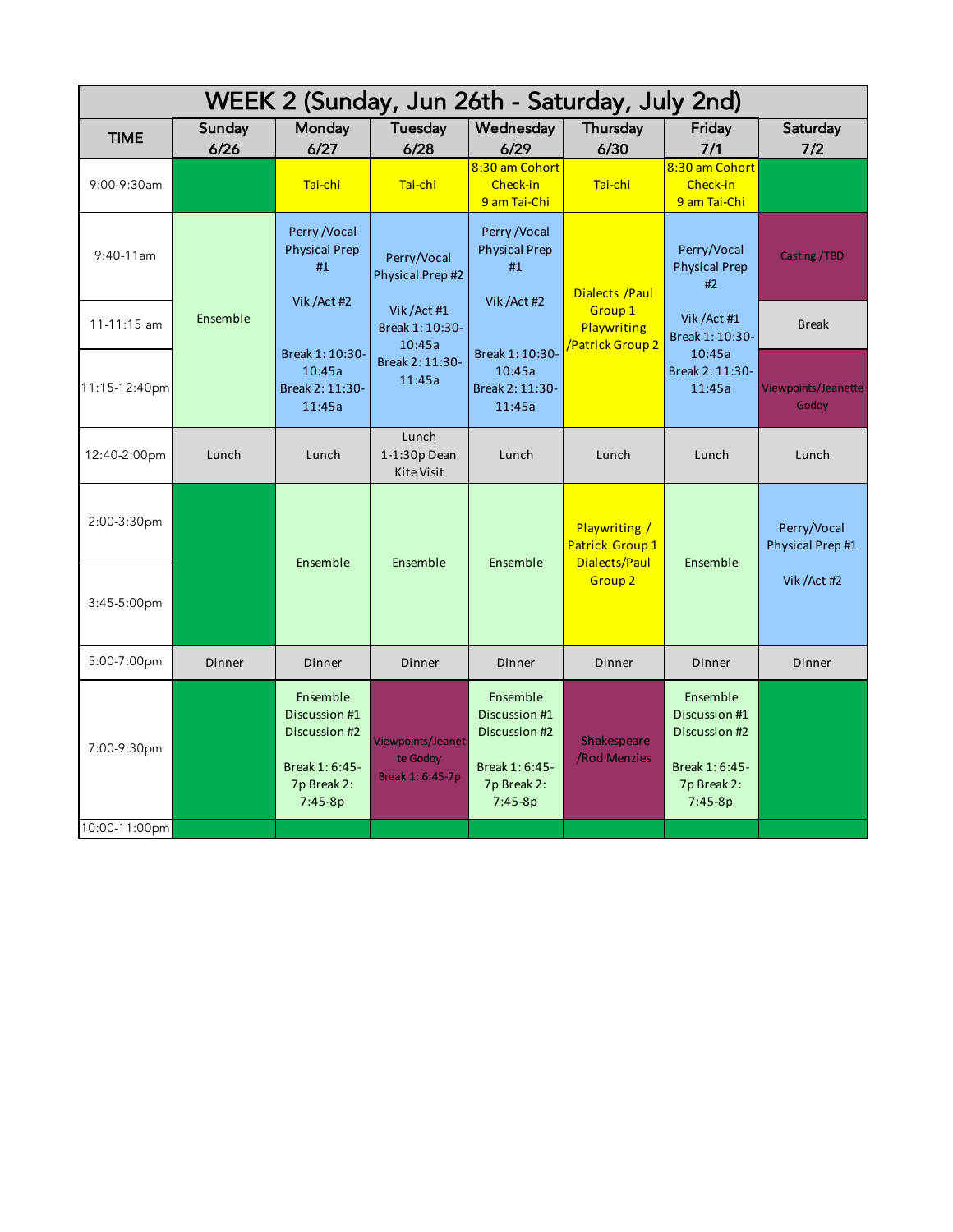| WEEK 2 (Sunday, Jun 26th - Saturday, July 2nd) |                |                                                                                          |                                                   |                                                                                          |                                                                 |                                                                                          |                                 |
|------------------------------------------------|----------------|------------------------------------------------------------------------------------------|---------------------------------------------------|------------------------------------------------------------------------------------------|-----------------------------------------------------------------|------------------------------------------------------------------------------------------|---------------------------------|
| <b>TIME</b>                                    | Sunday<br>6/26 | Monday<br>6/27                                                                           | <b>Tuesday</b><br>6/28                            | Wednesday<br>6/29                                                                        | Thursday<br>6/30                                                | Friday<br>7/1                                                                            | Saturday<br>7/2                 |
| 9:00-9:30am                                    |                | Tai-chi                                                                                  | Tai-chi                                           | 8:30 am Cohort<br>Check-in<br>9 am Tai-Chi                                               | Tai-chi                                                         | 8:30 am Cohort<br>Check-in<br>9 am Tai-Chi                                               |                                 |
| $9:40-11$ am                                   |                | Perry / Vocal<br><b>Physical Prep</b><br>#1                                              | Perry/Vocal<br>Physical Prep #2                   | Perry / Vocal<br><b>Physical Prep</b><br>#1                                              | <b>Dialects / Paul</b>                                          | Perry/Vocal<br><b>Physical Prep</b><br>#2                                                | Casting / TBD                   |
| 11-11:15 am                                    | Ensemble       | Vik / Act #2                                                                             | Vik / Act #1<br>Break 1: 10:30-                   | Vik / Act #2<br>10:45a                                                                   | Group 1<br>Playwriting<br>Patrick Group 2                       | Vik / Act #1<br>Break 1: 10:30-<br>10:45a<br>Break 2: 11:30-<br>11:45a                   | <b>Break</b>                    |
| 11:15-12:40pm                                  |                | Break 1: 10:30-<br>10:45a<br>11:45a<br>Break 2: 11:30-<br>11:45a                         | Break 2: 11:30-                                   | Break 1: 10:30-<br>10:45a<br>Break 2: 11:30-<br>11:45a                                   |                                                                 |                                                                                          | Viewpoints/Jeanette<br>Godoy    |
| 12:40-2:00pm                                   | Lunch          | Lunch                                                                                    | Lunch<br>1-1:30p Dean<br><b>Kite Visit</b>        | Lunch                                                                                    | Lunch                                                           | Lunch                                                                                    | Lunch                           |
| 2:00-3:30pm                                    |                | Ensemble                                                                                 | Ensemble                                          | Ensemble                                                                                 | <b>Playwriting /</b><br>Patrick Group 1<br><b>Dialects/Paul</b> | Ensemble                                                                                 | Perry/Vocal<br>Physical Prep #1 |
| 3:45-5:00pm                                    |                |                                                                                          |                                                   |                                                                                          | <b>Group 2</b>                                                  |                                                                                          | Vik / Act #2                    |
| 5:00-7:00pm                                    | <b>Dinner</b>  | Dinner                                                                                   | Dinner                                            | Dinner                                                                                   | <b>Dinner</b>                                                   | Dinner                                                                                   | <b>Dinner</b>                   |
| 7:00-9:30pm                                    |                | Ensemble<br>Discussion #1<br>Discussion #2<br>Break 1: 6:45-<br>7p Break 2:<br>$7:45-8p$ | Viewpoints/Jeanet<br>te Godoy<br>Break 1: 6:45-7p | Ensemble<br>Discussion #1<br>Discussion #2<br>Break 1: 6:45-<br>7p Break 2:<br>$7:45-8p$ | Shakespeare<br>/Rod Menzies                                     | Ensemble<br>Discussion #1<br>Discussion #2<br>Break 1: 6:45-<br>7p Break 2:<br>$7:45-8p$ |                                 |
| 10:00-11:00pm                                  |                |                                                                                          |                                                   |                                                                                          |                                                                 |                                                                                          |                                 |